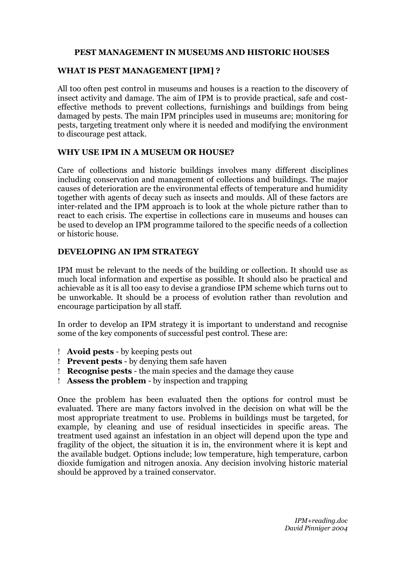### **PEST MANAGEMENT IN MUSEUMS AND HISTORIC HOUSES**

#### **WHAT IS PEST MANAGEMENT [IPM] ?**

All too often pest control in museums and houses is a reaction to the discovery of insect activity and damage. The aim of IPM is to provide practical, safe and costeffective methods to prevent collections, furnishings and buildings from being damaged by pests. The main IPM principles used in museums are; monitoring for pests, targeting treatment only where it is needed and modifying the environment to discourage pest attack.

#### **WHY USE IPM IN A MUSEUM OR HOUSE?**

Care of collections and historic buildings involves many different disciplines including conservation and management of collections and buildings. The major causes of deterioration are the environmental effects of temperature and humidity together with agents of decay such as insects and moulds. All of these factors are inter-related and the IPM approach is to look at the whole picture rather than to react to each crisis. The expertise in collections care in museums and houses can be used to develop an IPM programme tailored to the specific needs of a collection or historic house.

### **DEVELOPING AN IPM STRATEGY**

IPM must be relevant to the needs of the building or collection. It should use as much local information and expertise as possible. It should also be practical and achievable as it is all too easy to devise a grandiose IPM scheme which turns out to be unworkable. It should be a process of evolution rather than revolution and encourage participation by all staff.

In order to develop an IPM strategy it is important to understand and recognise some of the key components of successful pest control. These are:

- **Avoid pests** by keeping pests out
- **Prevent pests** by denying them safe haven
- **Recognise pests** the main species and the damage they cause
- **Assess the problem** by inspection and trapping

Once the problem has been evaluated then the options for control must be evaluated. There are many factors involved in the decision on what will be the most appropriate treatment to use. Problems in buildings must be targeted, for example, by cleaning and use of residual insecticides in specific areas. The treatment used against an infestation in an object will depend upon the type and fragility of the object, the situation it is in, the environment where it is kept and the available budget. Options include; low temperature, high temperature, carbon dioxide fumigation and nitrogen anoxia. Any decision involving historic material should be approved by a trained conservator.